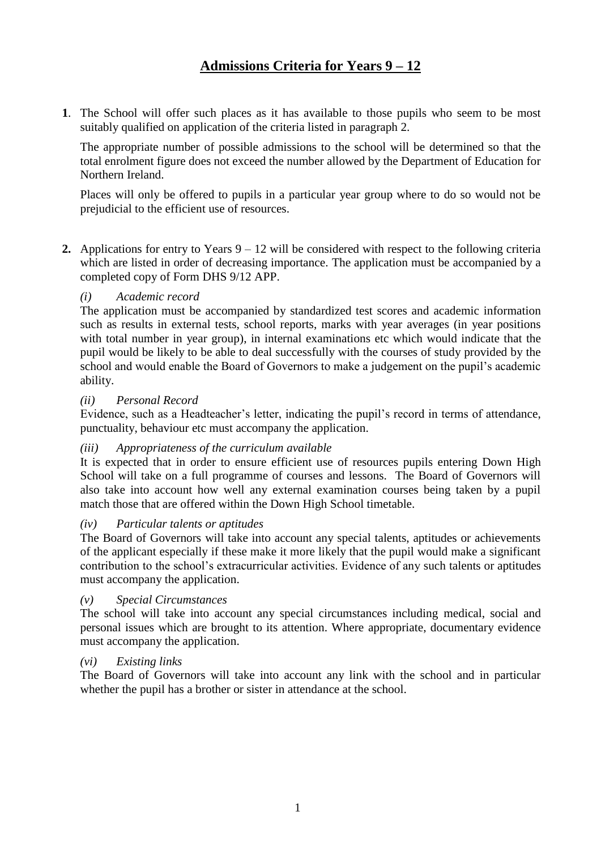**1**. The School will offer such places as it has available to those pupils who seem to be most suitably qualified on application of the criteria listed in paragraph 2.

The appropriate number of possible admissions to the school will be determined so that the total enrolment figure does not exceed the number allowed by the Department of Education for Northern Ireland.

Places will only be offered to pupils in a particular year group where to do so would not be prejudicial to the efficient use of resources.

**2.** Applications for entry to Years 9 – 12 will be considered with respect to the following criteria which are listed in order of decreasing importance. The application must be accompanied by a completed copy of Form DHS 9/12 APP.

# *(i) Academic record*

The application must be accompanied by standardized test scores and academic information such as results in external tests, school reports, marks with year averages (in year positions with total number in year group), in internal examinations etc which would indicate that the pupil would be likely to be able to deal successfully with the courses of study provided by the school and would enable the Board of Governors to make a judgement on the pupil's academic ability.

### *(ii) Personal Record*

Evidence, such as a Headteacher's letter, indicating the pupil's record in terms of attendance, punctuality, behaviour etc must accompany the application.

## *(iii) Appropriateness of the curriculum available*

It is expected that in order to ensure efficient use of resources pupils entering Down High School will take on a full programme of courses and lessons. The Board of Governors will also take into account how well any external examination courses being taken by a pupil match those that are offered within the Down High School timetable.

#### *(iv) Particular talents or aptitudes*

The Board of Governors will take into account any special talents, aptitudes or achievements of the applicant especially if these make it more likely that the pupil would make a significant contribution to the school's extracurricular activities. Evidence of any such talents or aptitudes must accompany the application.

## *(v) Special Circumstances*

The school will take into account any special circumstances including medical, social and personal issues which are brought to its attention. Where appropriate, documentary evidence must accompany the application.

#### *(vi) Existing links*

The Board of Governors will take into account any link with the school and in particular whether the pupil has a brother or sister in attendance at the school.